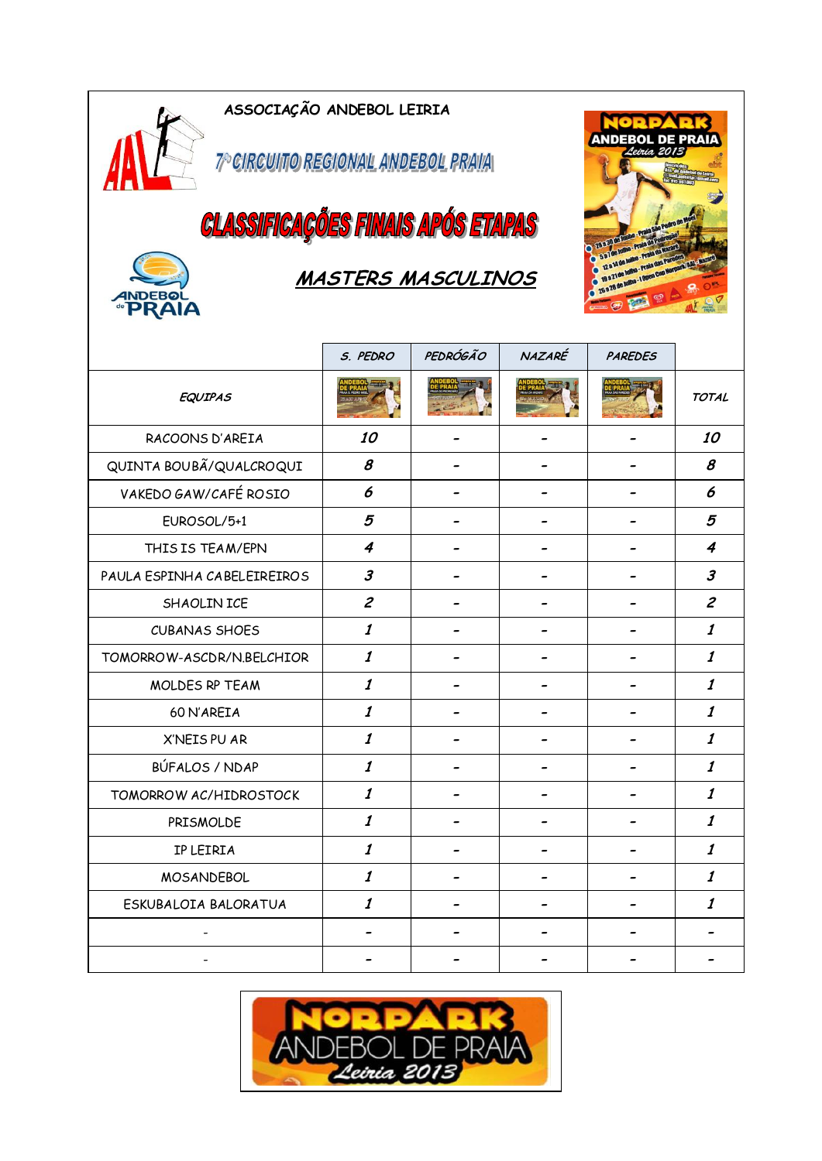

7º CIRCUITO REGIONAL ANDEBOL PRAVA

**CLASSIFICAÇÕES FINAIS APÓS ETAPAS** 



### **MASTERS MASCULINOS**



|                             | S. PEDRO                    | PEDRÓGÃO | NAZARÉ | <b>PAREDES</b> |                             |
|-----------------------------|-----------------------------|----------|--------|----------------|-----------------------------|
| <b>EQUIPAS</b>              |                             |          |        |                | <b>TOTAL</b>                |
| RACOONS D'AREIA             | 10                          |          |        |                | 10                          |
| QUINTA BOUBÃ/QUALCROQUI     | 8                           |          |        |                | 8                           |
| VAKEDO GAW/CAFÉ ROSIO       | 6                           |          |        |                | 6                           |
| EUROSOL/5+1                 | 5                           |          |        |                | 5                           |
| THIS IS TEAM/EPN            | $\overline{4}$              |          |        |                | $\boldsymbol{4}$            |
| PAULA ESPINHA CABELEIREIROS | $\boldsymbol{\beta}$        |          |        |                | 3                           |
| SHAOLIN ICE                 | $\mathcal{Z}_{\mathcal{C}}$ |          |        |                | $\mathcal{Z}_{\mathcal{C}}$ |
| <b>CUBANAS SHOES</b>        | $\boldsymbol{\mathit{1}}$   |          |        |                | $\boldsymbol{\it 1}$        |
| TOMORROW-ASCDR/N.BELCHIOR   | $\boldsymbol{\it 1}$        |          |        |                | $\boldsymbol{\it 1}$        |
| MOLDES RP TEAM              | $\boldsymbol{\mathit{1}}$   |          |        |                | $\boldsymbol{\mathit{1}}$   |
| 60 N'AREIA                  | $\boldsymbol{\mathit{1}}$   |          |        |                | $\boldsymbol{\it 1}$        |
| X'NEIS PU AR                | $\boldsymbol{\mathit{1}}$   |          |        |                | $\boldsymbol{\varLambda}$   |
| BÚFALOS / NDAP              | $\boldsymbol{\it 1}$        |          |        |                | $\boldsymbol{\it 1}$        |
| TOMORROW AC/HIDROSTOCK      | $\boldsymbol{\it 1}$        |          |        |                | $\boldsymbol{\it 1}$        |
| PRISMOLDE                   | $\boldsymbol{\it 1}$        |          |        |                | 1                           |
| IP LEIRIA                   | $\boldsymbol{\mathit{1}}$   |          |        |                | $\boldsymbol{\mathit{1}}$   |
| <b>MOSANDEBOL</b>           | $\boldsymbol{\it 1}$        |          |        |                | $\boldsymbol{\it 1}$        |
| ESKUBALOIA BALORATUA        | $\boldsymbol{\mathit{1}}$   |          |        |                | $\boldsymbol{\mathit{1}}$   |
|                             |                             |          |        |                |                             |
|                             |                             |          |        |                |                             |

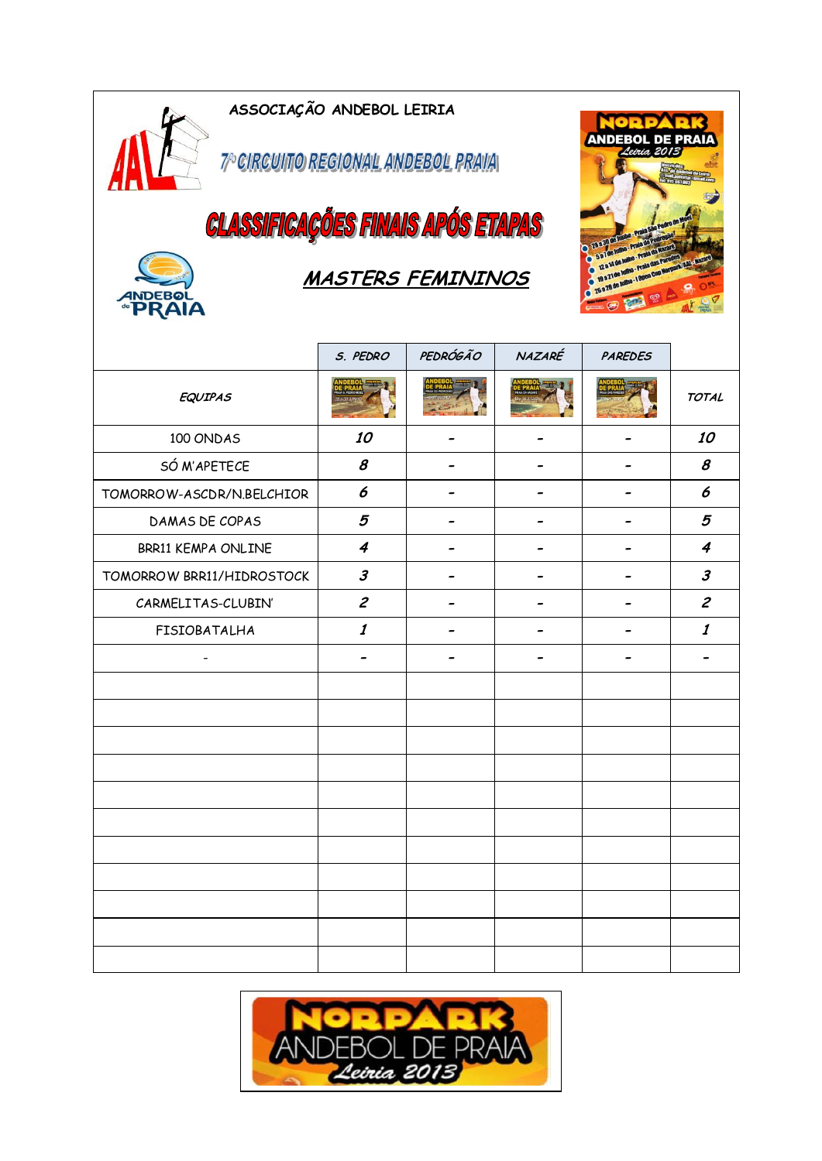

7º CIRCUITO REGIONAL ANDEBOL PRAVA

# **CLASSIFICAÇÕES FINAIS APÓS ETAPAS**



### **MASTERS FEMININOS**



|                           | S. PEDRO                    | PEDRÓGÃO | NAZARÉ | <b>PAREDES</b> |                             |
|---------------------------|-----------------------------|----------|--------|----------------|-----------------------------|
| <b>EQUIPAS</b>            | $\rightarrow$               |          |        |                | <b>TOTAL</b>                |
| 100 ONDAS                 | 10                          |          |        |                | 10                          |
| SÓ M'APETECE              | $\pmb{\mathcal{S}}$         |          |        |                | 8                           |
| TOMORROW-ASCDR/N.BELCHIOR | 6                           |          |        |                | 6                           |
| DAMAS DE COPAS            | 5                           |          |        |                | 5                           |
| BRR11 KEMPA ONLINE        | $\boldsymbol{4}$            |          |        |                | 4                           |
| TOMORROW BRR11/HIDROSTOCK | $\boldsymbol{\beta}$        |          |        |                | $\boldsymbol{\beta}$        |
| CARMELITAS-CLUBIN'        | $\mathcal{Z}_{\mathcal{C}}$ |          |        |                | $\mathcal{Z}_{\mathcal{C}}$ |
| FISIOBATALHA              | $\boldsymbol{\it 1}$        |          |        |                | $\boldsymbol{\it 1}$        |
| $\overline{\phantom{0}}$  |                             |          |        |                |                             |
|                           |                             |          |        |                |                             |
|                           |                             |          |        |                |                             |
|                           |                             |          |        |                |                             |
|                           |                             |          |        |                |                             |
|                           |                             |          |        |                |                             |
|                           |                             |          |        |                |                             |
|                           |                             |          |        |                |                             |
|                           |                             |          |        |                |                             |
|                           |                             |          |        |                |                             |
|                           |                             |          |        |                |                             |
|                           |                             |          |        |                |                             |

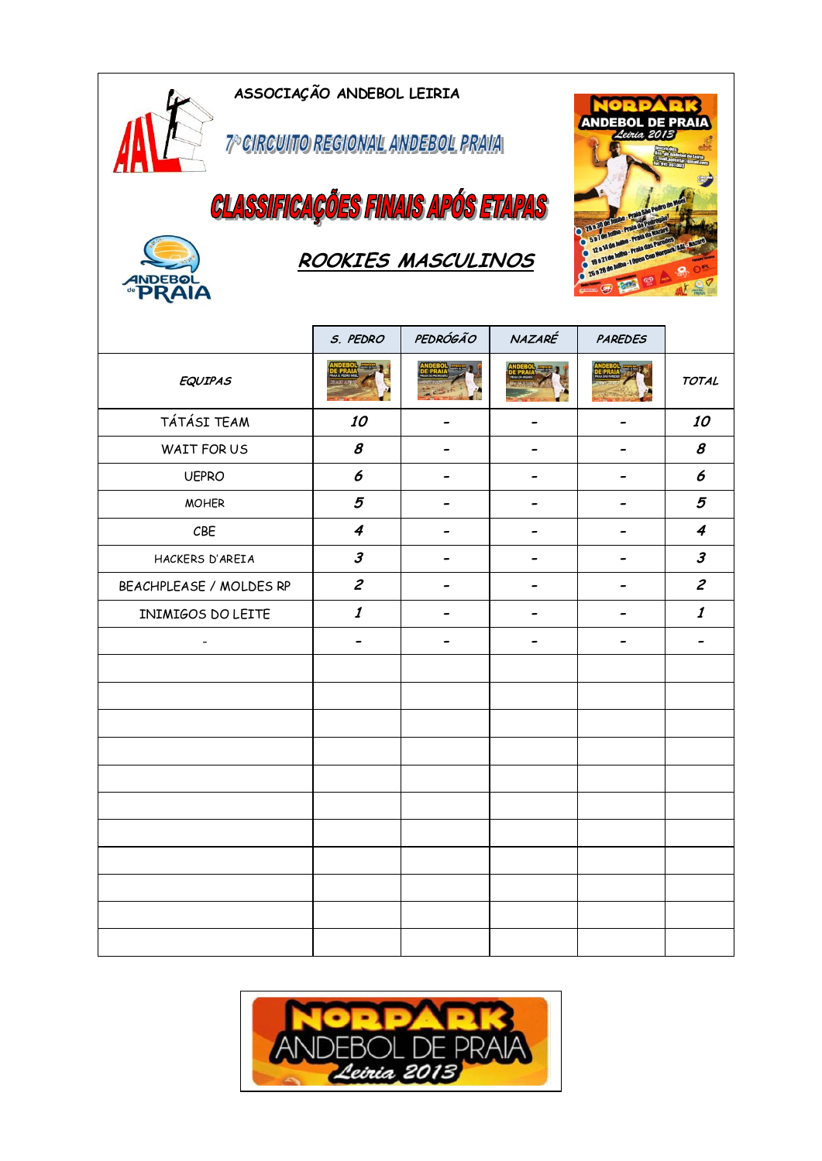7º CIRCUITO REGIONAL ANDEBOL PRAVA

**CLASSIFICAÇÕES FINAIS APÓS ETAPAS** 



AN

## **ROOKIES MASCULINOS**



|                         | S. PEDRO                    | PEDRÓGÃO | NAZARÉ | PAREDES |                           |
|-------------------------|-----------------------------|----------|--------|---------|---------------------------|
| <b>EQUIPAS</b>          |                             |          |        |         | <b>TOTAL</b>              |
| TÁTÁSI TEAM             | 10                          |          |        |         | 10                        |
| WAIT FOR US             | $\pmb{\mathcal{S}}$         |          |        |         | $\boldsymbol{s}$          |
| <b>UEPRO</b>            | 6                           |          |        |         | 6                         |
| <b>MOHER</b>            | 5                           |          |        |         | 5                         |
| CBE                     | $\boldsymbol{4}$            |          | -      |         | $\boldsymbol{4}$          |
| HACKERS D'AREIA         | $\boldsymbol{\beta}$        |          |        |         | $\boldsymbol{\beta}$      |
| BEACHPLEASE / MOLDES RP | $\mathcal{Z}_{\mathcal{C}}$ |          |        |         | $\mathcal{Z}$             |
| INIMIGOS DO LEITE       | $\boldsymbol{\it 1}$        |          |        |         | $\boldsymbol{\mathit{1}}$ |
| $\qquad \qquad -$       |                             |          |        |         |                           |
|                         |                             |          |        |         |                           |
|                         |                             |          |        |         |                           |
|                         |                             |          |        |         |                           |
|                         |                             |          |        |         |                           |
|                         |                             |          |        |         |                           |
|                         |                             |          |        |         |                           |
|                         |                             |          |        |         |                           |
|                         |                             |          |        |         |                           |
|                         |                             |          |        |         |                           |
|                         |                             |          |        |         |                           |
|                         |                             |          |        |         |                           |